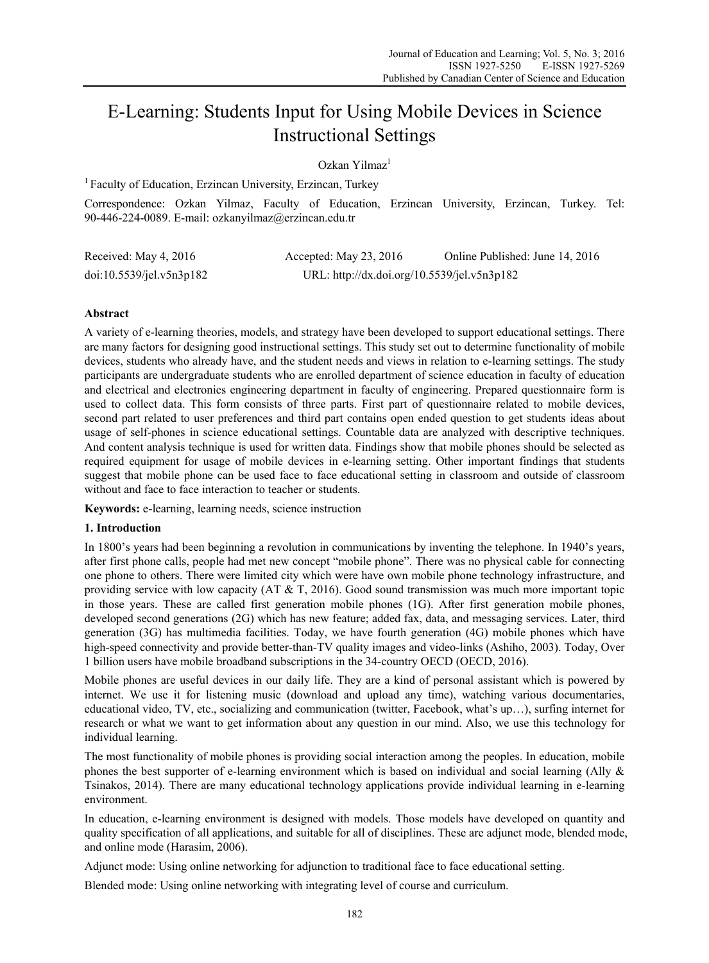# E-Learning: Students Input for Using Mobile Devices in Science Instructional Settings

Ozkan Yilmaz1

<sup>1</sup> Faculty of Education, Erzincan University, Erzincan, Turkey

Correspondence: Ozkan Yilmaz, Faculty of Education, Erzincan University, Erzincan, Turkey. Tel: 90-446-224-0089. E-mail: ozkanyilmaz@erzincan.edu.tr

| Received: May 4, 2016    | Accepted: May 23, 2016                      | Online Published: June 14, 2016 |
|--------------------------|---------------------------------------------|---------------------------------|
| doi:10.5539/jel.v5n3p182 | URL: http://dx.doi.org/10.5539/jel.v5n3p182 |                                 |

# **Abstract**

A variety of e-learning theories, models, and strategy have been developed to support educational settings. There are many factors for designing good instructional settings. This study set out to determine functionality of mobile devices, students who already have, and the student needs and views in relation to e-learning settings. The study participants are undergraduate students who are enrolled department of science education in faculty of education and electrical and electronics engineering department in faculty of engineering. Prepared questionnaire form is used to collect data. This form consists of three parts. First part of questionnaire related to mobile devices, second part related to user preferences and third part contains open ended question to get students ideas about usage of self-phones in science educational settings. Countable data are analyzed with descriptive techniques. And content analysis technique is used for written data. Findings show that mobile phones should be selected as required equipment for usage of mobile devices in e-learning setting. Other important findings that students suggest that mobile phone can be used face to face educational setting in classroom and outside of classroom without and face to face interaction to teacher or students.

**Keywords:** e-learning, learning needs, science instruction

# **1. Introduction**

In 1800's years had been beginning a revolution in communications by inventing the telephone. In 1940's years, after first phone calls, people had met new concept "mobile phone". There was no physical cable for connecting one phone to others. There were limited city which were have own mobile phone technology infrastructure, and providing service with low capacity (AT  $\&$  T, 2016). Good sound transmission was much more important topic in those years. These are called first generation mobile phones (1G). After first generation mobile phones, developed second generations (2G) which has new feature; added fax, data, and messaging services. Later, third generation (3G) has multimedia facilities. Today, we have fourth generation (4G) mobile phones which have high-speed connectivity and provide better-than-TV quality images and video-links (Ashiho, 2003). Today, Over 1 billion users have mobile broadband subscriptions in the 34-country OECD (OECD, 2016).

Mobile phones are useful devices in our daily life. They are a kind of personal assistant which is powered by internet. We use it for listening music (download and upload any time), watching various documentaries, educational video, TV, etc., socializing and communication (twitter, Facebook, what's up…), surfing internet for research or what we want to get information about any question in our mind. Also, we use this technology for individual learning.

The most functionality of mobile phones is providing social interaction among the peoples. In education, mobile phones the best supporter of e-learning environment which is based on individual and social learning (Ally & Tsinakos, 2014). There are many educational technology applications provide individual learning in e-learning environment.

In education, e-learning environment is designed with models. Those models have developed on quantity and quality specification of all applications, and suitable for all of disciplines. These are adjunct mode, blended mode, and online mode (Harasim, 2006).

Adjunct mode: Using online networking for adjunction to traditional face to face educational setting.

Blended mode: Using online networking with integrating level of course and curriculum.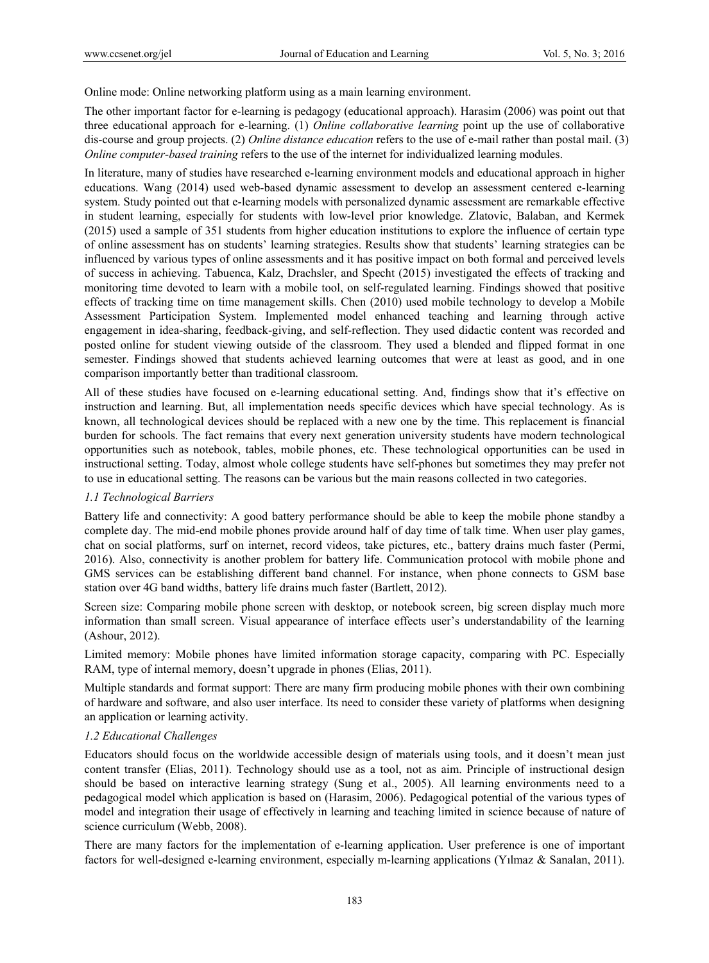Online mode: Online networking platform using as a main learning environment.

The other important factor for e-learning is pedagogy (educational approach). Harasim (2006) was point out that three educational approach for e-learning. (1) *Online collaborative learning* point up the use of collaborative dis-course and group projects. (2) *Online distance education* refers to the use of e-mail rather than postal mail. (3) *Online computer-based training* refers to the use of the internet for individualized learning modules.

In literature, many of studies have researched e-learning environment models and educational approach in higher educations. Wang (2014) used web-based dynamic assessment to develop an assessment centered e-learning system. Study pointed out that e-learning models with personalized dynamic assessment are remarkable effective in student learning, especially for students with low-level prior knowledge. Zlatovic, Balaban, and Kermek (2015) used a sample of 351 students from higher education institutions to explore the influence of certain type of online assessment has on students' learning strategies. Results show that students' learning strategies can be influenced by various types of online assessments and it has positive impact on both formal and perceived levels of success in achieving. Tabuenca, Kalz, Drachsler, and Specht (2015) investigated the effects of tracking and monitoring time devoted to learn with a mobile tool, on self-regulated learning. Findings showed that positive effects of tracking time on time management skills. Chen (2010) used mobile technology to develop a Mobile Assessment Participation System. Implemented model enhanced teaching and learning through active engagement in idea-sharing, feedback-giving, and self-reflection. They used didactic content was recorded and posted online for student viewing outside of the classroom. They used a blended and flipped format in one semester. Findings showed that students achieved learning outcomes that were at least as good, and in one comparison importantly better than traditional classroom.

All of these studies have focused on e-learning educational setting. And, findings show that it's effective on instruction and learning. But, all implementation needs specific devices which have special technology. As is known, all technological devices should be replaced with a new one by the time. This replacement is financial burden for schools. The fact remains that every next generation university students have modern technological opportunities such as notebook, tables, mobile phones, etc. These technological opportunities can be used in instructional setting. Today, almost whole college students have self-phones but sometimes they may prefer not to use in educational setting. The reasons can be various but the main reasons collected in two categories.

# *1.1 Technological Barriers*

Battery life and connectivity: A good battery performance should be able to keep the mobile phone standby a complete day. The mid-end mobile phones provide around half of day time of talk time. When user play games, chat on social platforms, surf on internet, record videos, take pictures, etc., battery drains much faster (Permi, 2016). Also, connectivity is another problem for battery life. Communication protocol with mobile phone and GMS services can be establishing different band channel. For instance, when phone connects to GSM base station over 4G band widths, battery life drains much faster (Bartlett, 2012).

Screen size: Comparing mobile phone screen with desktop, or notebook screen, big screen display much more information than small screen. Visual appearance of interface effects user's understandability of the learning (Ashour, 2012).

Limited memory: Mobile phones have limited information storage capacity, comparing with PC. Especially RAM, type of internal memory, doesn't upgrade in phones (Elias, 2011).

Multiple standards and format support: There are many firm producing mobile phones with their own combining of hardware and software, and also user interface. Its need to consider these variety of platforms when designing an application or learning activity.

# *1.2 Educational Challenges*

Educators should focus on the worldwide accessible design of materials using tools, and it doesn't mean just content transfer (Elias, 2011). Technology should use as a tool, not as aim. Principle of instructional design should be based on interactive learning strategy (Sung et al., 2005). All learning environments need to a pedagogical model which application is based on (Harasim, 2006). Pedagogical potential of the various types of model and integration their usage of effectively in learning and teaching limited in science because of nature of science curriculum (Webb, 2008).

There are many factors for the implementation of e-learning application. User preference is one of important factors for well-designed e-learning environment, especially m-learning applications (Yılmaz & Sanalan, 2011).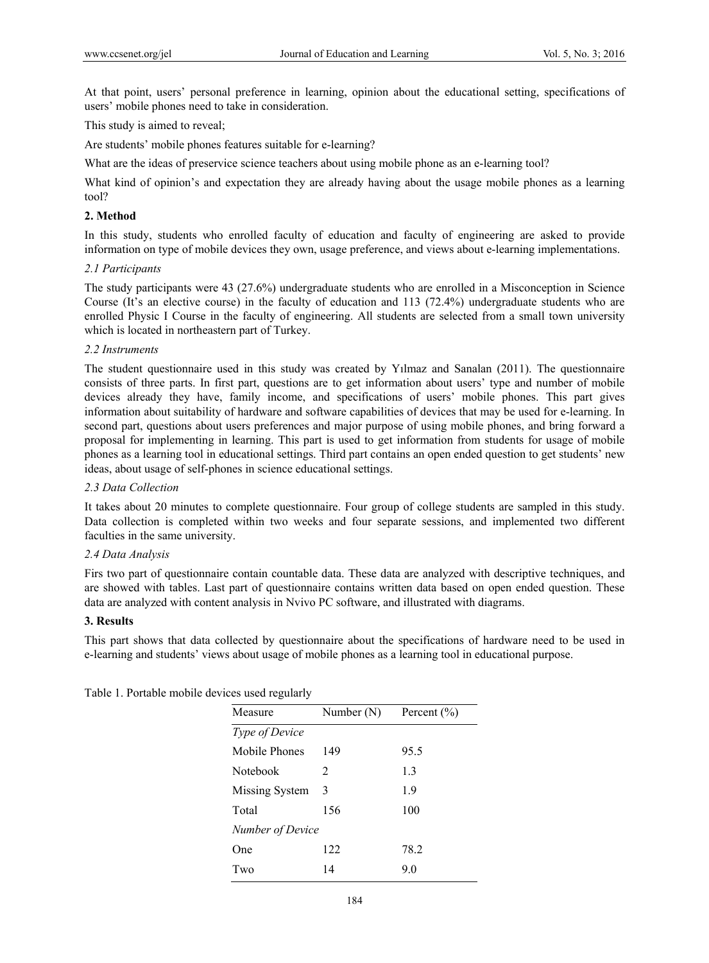At that point, users' personal preference in learning, opinion about the educational setting, specifications of users' mobile phones need to take in consideration.

This study is aimed to reveal;

Are students' mobile phones features suitable for e-learning?

What are the ideas of preservice science teachers about using mobile phone as an e-learning tool?

What kind of opinion's and expectation they are already having about the usage mobile phones as a learning tool?

### **2. Method**

In this study, students who enrolled faculty of education and faculty of engineering are asked to provide information on type of mobile devices they own, usage preference, and views about e-learning implementations.

#### *2.1 Participants*

The study participants were 43 (27.6%) undergraduate students who are enrolled in a Misconception in Science Course (It's an elective course) in the faculty of education and 113 (72.4%) undergraduate students who are enrolled Physic I Course in the faculty of engineering. All students are selected from a small town university which is located in northeastern part of Turkey.

#### *2.2 Instruments*

The student questionnaire used in this study was created by Yılmaz and Sanalan (2011). The questionnaire consists of three parts. In first part, questions are to get information about users' type and number of mobile devices already they have, family income, and specifications of users' mobile phones. This part gives information about suitability of hardware and software capabilities of devices that may be used for e-learning. In second part, questions about users preferences and major purpose of using mobile phones, and bring forward a proposal for implementing in learning. This part is used to get information from students for usage of mobile phones as a learning tool in educational settings. Third part contains an open ended question to get students' new ideas, about usage of self-phones in science educational settings.

#### *2.3 Data Collection*

It takes about 20 minutes to complete questionnaire. Four group of college students are sampled in this study. Data collection is completed within two weeks and four separate sessions, and implemented two different faculties in the same university.

#### *2.4 Data Analysis*

Firs two part of questionnaire contain countable data. These data are analyzed with descriptive techniques, and are showed with tables. Last part of questionnaire contains written data based on open ended question. These data are analyzed with content analysis in Nvivo PC software, and illustrated with diagrams.

# **3. Results**

This part shows that data collected by questionnaire about the specifications of hardware need to be used in e-learning and students' views about usage of mobile phones as a learning tool in educational purpose.

| Measure               | Number $(N)$ | Percent $(\% )$ |  |  |  |
|-----------------------|--------------|-----------------|--|--|--|
| <i>Type of Device</i> |              |                 |  |  |  |
| Mobile Phones         | 149          | 95.5            |  |  |  |
| <b>Notebook</b>       | 2            | 13              |  |  |  |
| Missing System        | 3            | 1.9             |  |  |  |
| Total                 | 156          | 100             |  |  |  |
| Number of Device      |              |                 |  |  |  |
| One                   | 122          | 78.2            |  |  |  |
| Two                   | 14           | 9.0             |  |  |  |

Table 1. Portable mobile devices used regularly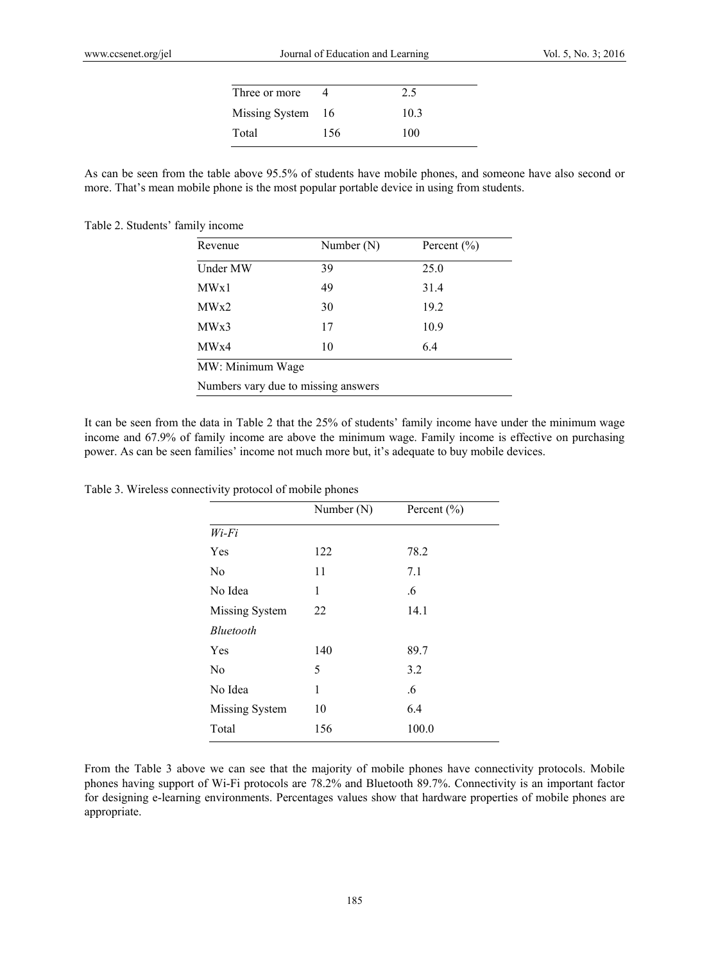| Three or more  |      | 25  |
|----------------|------|-----|
| Missing System | - 16 | 103 |
| Total          | 156  | 100 |

As can be seen from the table above 95.5% of students have mobile phones, and someone have also second or more. That's mean mobile phone is the most popular portable device in using from students.

| 39<br>49 | 25.0             |
|----------|------------------|
|          |                  |
|          | 31.4             |
| 30       | 19.2             |
| 17       | 10.9             |
| 10       | 6.4              |
|          | MW: Minimum Wage |

It can be seen from the data in Table 2 that the 25% of students' family income have under the minimum wage income and 67.9% of family income are above the minimum wage. Family income is effective on purchasing power. As can be seen families' income not much more but, it's adequate to buy mobile devices.

|                | Number $(N)$ | Percent $(\% )$ |  |  |
|----------------|--------------|-----------------|--|--|
| $Wi$ - $Fi$    |              |                 |  |  |
| Yes            | 122          | 78.2            |  |  |
| No             | 11           | 7.1             |  |  |
| No Idea        | 1            | .6              |  |  |
| Missing System | 22           | 14.1            |  |  |
| Bluetooth      |              |                 |  |  |
| Yes            | 140          | 89.7            |  |  |
| N <sub>0</sub> | 5            | 3.2             |  |  |
| No Idea        | 1            | .6              |  |  |
| Missing System | 10           | 6.4             |  |  |
| Total          | 156          | 100.0           |  |  |
|                |              |                 |  |  |

Table 3. Wireless connectivity protocol of mobile phones

From the Table 3 above we can see that the majority of mobile phones have connectivity protocols. Mobile phones having support of Wi-Fi protocols are 78.2% and Bluetooth 89.7%. Connectivity is an important factor for designing e-learning environments. Percentages values show that hardware properties of mobile phones are appropriate.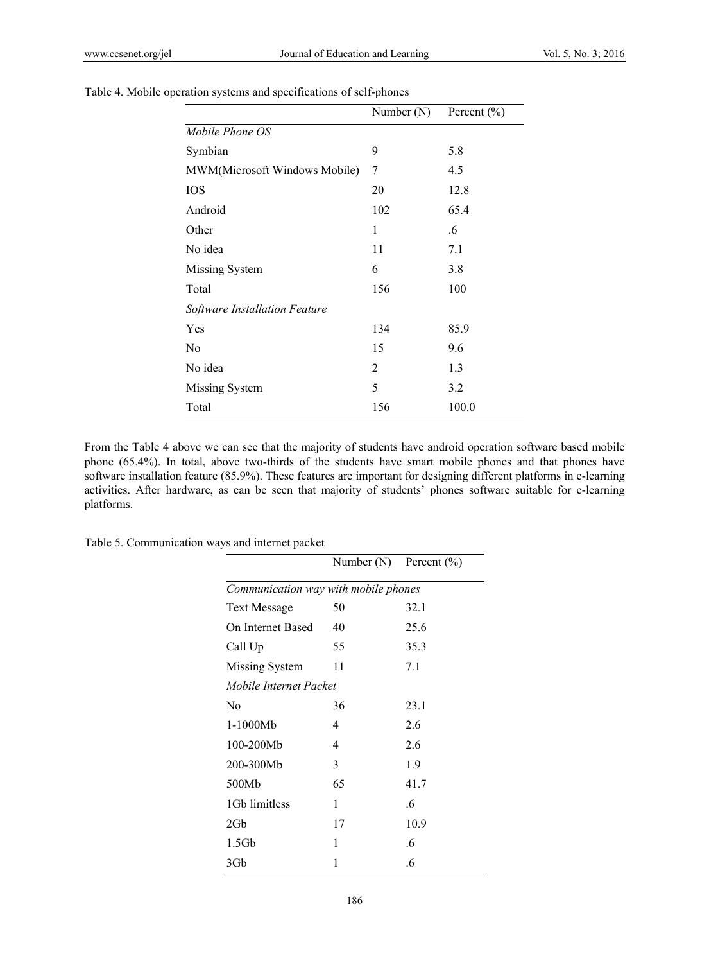|                               | Number $(N)$ | Percent $(\% )$ |
|-------------------------------|--------------|-----------------|
| Mobile Phone OS               |              |                 |
| Symbian                       | 9            | 5.8             |
| MWM(Microsoft Windows Mobile) | 7            | 4.5             |
| <b>IOS</b>                    | 20           | 12.8            |
| Android                       | 102          | 65.4            |
| Other                         | $\mathbf{1}$ | .6              |
| No idea                       | 11           | 7.1             |
| Missing System                | 6            | 3.8             |
| Total                         | 156          | 100             |
| Software Installation Feature |              |                 |
| Yes                           | 134          | 85.9            |
| No                            | 15           | 9.6             |
| No idea                       | 2            | 1.3             |
| Missing System                | 5            | 3.2             |
| Total                         | 156          | 100.0           |

Table 4. Mobile operation systems and specifications of self-phones

From the Table 4 above we can see that the majority of students have android operation software based mobile phone (65.4%). In total, above two-thirds of the students have smart mobile phones and that phones have software installation feature (85.9%). These features are important for designing different platforms in e-learning activities. After hardware, as can be seen that majority of students' phones software suitable for e-learning platforms.

Table 5. Communication ways and internet packet

|                                      | Number $(N)$ Percent $(\% )$ |      |  |  |
|--------------------------------------|------------------------------|------|--|--|
| Communication way with mobile phones |                              |      |  |  |
| <b>Text Message</b>                  | 50                           | 32.1 |  |  |
| On Internet Based                    | 40                           | 25.6 |  |  |
| Call Up                              | 55                           | 35.3 |  |  |
| Missing System                       | 11                           | 7.1  |  |  |
| Mobile Internet Packet               |                              |      |  |  |
| No                                   | 36                           | 23.1 |  |  |
| $1-1000Mb$                           | 4                            | 2.6  |  |  |
| 100-200Mb                            | 4                            | 2.6  |  |  |
| 200-300Mb                            | 3                            | 1.9  |  |  |
| 500Mb                                | 65                           | 41.7 |  |  |
| 1Gb limitless                        | 1                            | .6   |  |  |
| 2Gb                                  | 17                           | 10.9 |  |  |
| 1.5 <sub>Gb</sub>                    | 1                            | .6   |  |  |
| 3Gb                                  | 1                            | .6   |  |  |
|                                      |                              |      |  |  |

186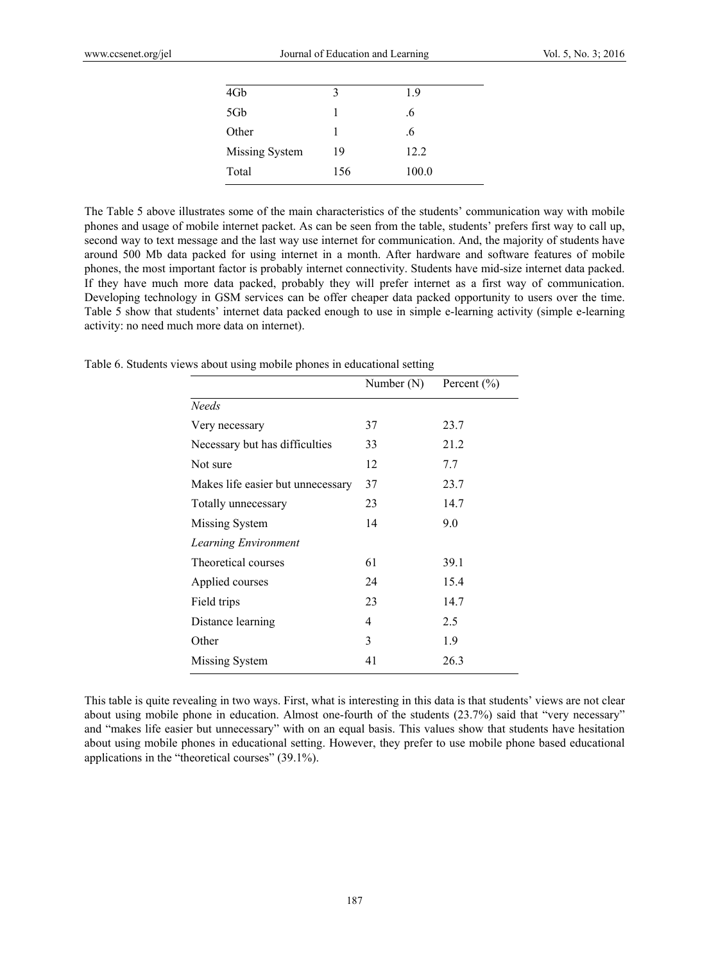| 4Gb            | 3   | 1.9        |
|----------------|-----|------------|
| 5Gb            | ı   | $\cdot$    |
| Other          | 1   | $\epsilon$ |
| Missing System | 19  | 12.2       |
| Total          | 156 | 100.0      |

The Table 5 above illustrates some of the main characteristics of the students' communication way with mobile phones and usage of mobile internet packet. As can be seen from the table, students' prefers first way to call up, second way to text message and the last way use internet for communication. And, the majority of students have around 500 Mb data packed for using internet in a month. After hardware and software features of mobile phones, the most important factor is probably internet connectivity. Students have mid-size internet data packed. If they have much more data packed, probably they will prefer internet as a first way of communication. Developing technology in GSM services can be offer cheaper data packed opportunity to users over the time. Table 5 show that students' internet data packed enough to use in simple e-learning activity (simple e-learning activity: no need much more data on internet).

Table 6. Students views about using mobile phones in educational setting

|                                   | Number $(N)$ | Percent $(\% )$ |
|-----------------------------------|--------------|-----------------|
| <b>Needs</b>                      |              |                 |
| Very necessary                    | 37           | 23.7            |
| Necessary but has difficulties    | 33           | 21.2            |
| Not sure                          | 12           | 7.7             |
| Makes life easier but unnecessary | 37           | 23.7            |
| Totally unnecessary               | 23           | 14.7            |
| Missing System                    | 14           | 9.0             |
| Learning Environment              |              |                 |
| Theoretical courses               | 61           | 39.1            |
| Applied courses                   | 24           | 15.4            |
| Field trips                       | 23           | 14.7            |
| Distance learning                 | 4            | 2.5             |
| Other                             | 3            | 1.9             |
| Missing System                    | 41           | 26.3            |

This table is quite revealing in two ways. First, what is interesting in this data is that students' views are not clear about using mobile phone in education. Almost one-fourth of the students (23.7%) said that "very necessary" and "makes life easier but unnecessary" with on an equal basis. This values show that students have hesitation about using mobile phones in educational setting. However, they prefer to use mobile phone based educational applications in the "theoretical courses" (39.1%).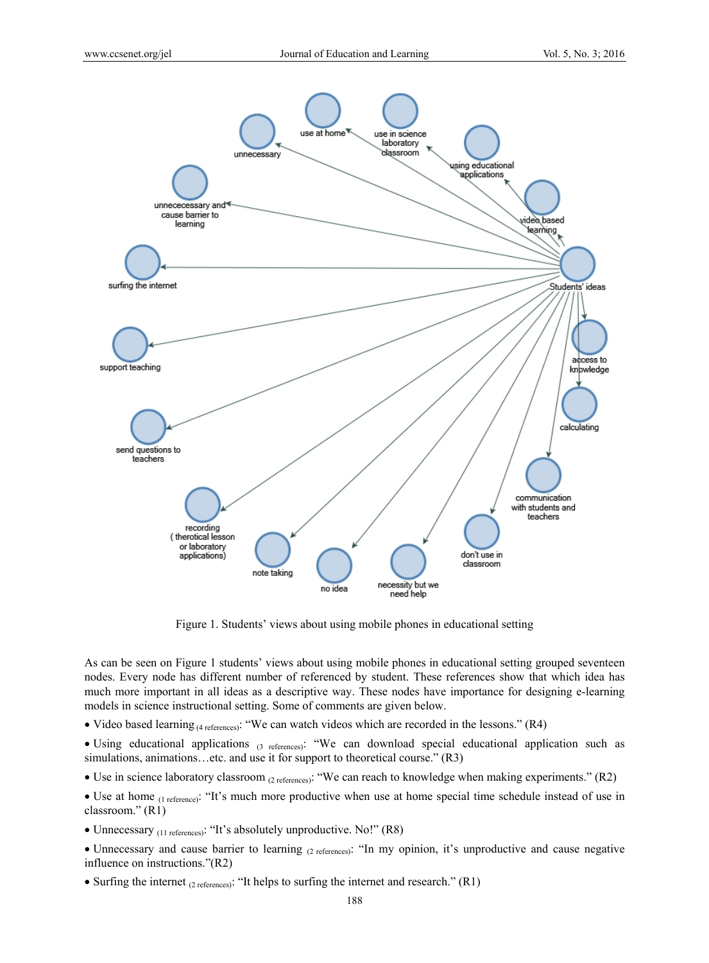

Figure 1. Students' views about using mobile phones in educational setting

As can be seen on Figure 1 students' views about using mobile phones in educational setting grouped seventeen nodes. Every node has different number of referenced by student. These references show that which idea has much more important in all ideas as a descriptive way. These nodes have importance for designing e-learning models in science instructional setting. Some of comments are given below.

- Video based learning (4 references): "We can watch videos which are recorded in the lessons." (R4)
- Using educational applications (3 references): "We can download special educational application such as simulations, animations...etc. and use it for support to theoretical course." (R3)
- Use in science laboratory classroom (2 references): "We can reach to knowledge when making experiments." (R2)
- Use at home (1 reference): "It's much more productive when use at home special time schedule instead of use in classroom." (R1)
- Unnecessary (11 references): "It's absolutely unproductive. No!" (R8)
- Unnecessary and cause barrier to learning (2 references): "In my opinion, it's unproductive and cause negative influence on instructions."(R2)
- Surfing the internet  $(2 \text{ references})$ : "It helps to surfing the internet and research." (R1)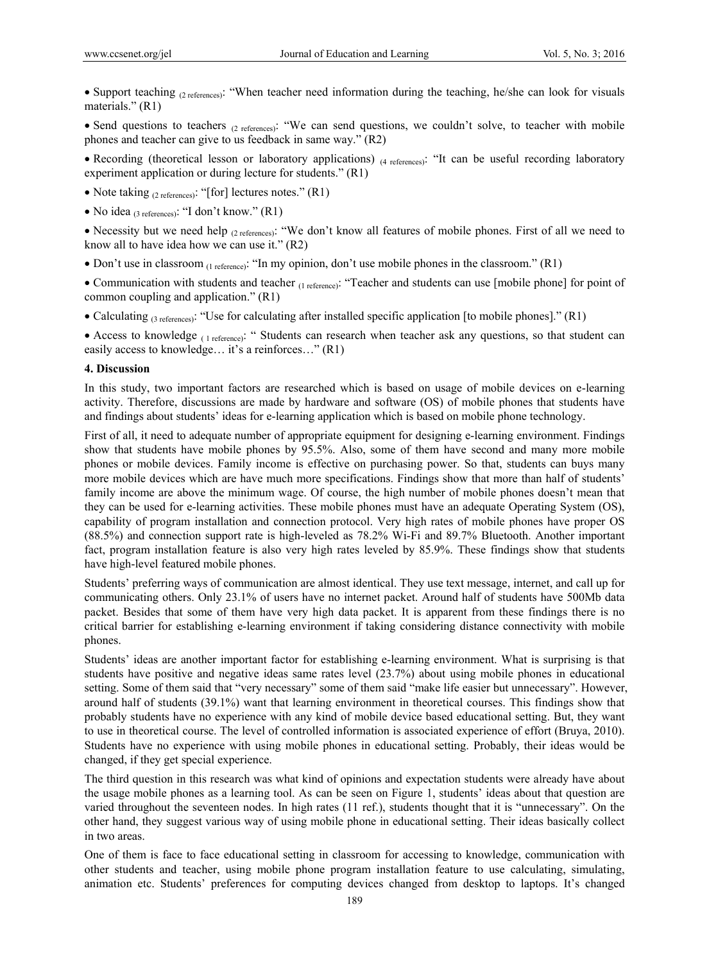• Support teaching (2 references): "When teacher need information during the teaching, he/she can look for visuals materials." (R1)

• Send questions to teachers (2 references): "We can send questions, we couldn't solve, to teacher with mobile phones and teacher can give to us feedback in same way." (R2)

• Recording (theoretical lesson or laboratory applications) (4 references): "It can be useful recording laboratory experiment application or during lecture for students." (R1)

• Note taking  $(2 \text{ references})$ : "[for] lectures notes." (R1)

• No idea (3 references): "I don't know." (R1)

• Necessity but we need help (2 references): "We don't know all features of mobile phones. First of all we need to know all to have idea how we can use it." (R2)

• Don't use in classroom (1 reference): "In my opinion, don't use mobile phones in the classroom." (R1)

 Communication with students and teacher (1 reference): "Teacher and students can use [mobile phone] for point of common coupling and application." (R1)

• Calculating  $(3 \text{ references})$ : "Use for calculating after installed specific application [to mobile phones]." (R1)

• Access to knowledge  $_{(1 \text{ reference})}$ : "Students can research when teacher ask any questions, so that student can easily access to knowledge… it's a reinforces…" (R1)

#### **4. Discussion**

In this study, two important factors are researched which is based on usage of mobile devices on e-learning activity. Therefore, discussions are made by hardware and software (OS) of mobile phones that students have and findings about students' ideas for e-learning application which is based on mobile phone technology.

First of all, it need to adequate number of appropriate equipment for designing e-learning environment. Findings show that students have mobile phones by 95.5%. Also, some of them have second and many more mobile phones or mobile devices. Family income is effective on purchasing power. So that, students can buys many more mobile devices which are have much more specifications. Findings show that more than half of students' family income are above the minimum wage. Of course, the high number of mobile phones doesn't mean that they can be used for e-learning activities. These mobile phones must have an adequate Operating System (OS), capability of program installation and connection protocol. Very high rates of mobile phones have proper OS (88.5%) and connection support rate is high-leveled as 78.2% Wi-Fi and 89.7% Bluetooth. Another important fact, program installation feature is also very high rates leveled by 85.9%. These findings show that students have high-level featured mobile phones.

Students' preferring ways of communication are almost identical. They use text message, internet, and call up for communicating others. Only 23.1% of users have no internet packet. Around half of students have 500Mb data packet. Besides that some of them have very high data packet. It is apparent from these findings there is no critical barrier for establishing e-learning environment if taking considering distance connectivity with mobile phones.

Students' ideas are another important factor for establishing e-learning environment. What is surprising is that students have positive and negative ideas same rates level (23.7%) about using mobile phones in educational setting. Some of them said that "very necessary" some of them said "make life easier but unnecessary". However, around half of students (39.1%) want that learning environment in theoretical courses. This findings show that probably students have no experience with any kind of mobile device based educational setting. But, they want to use in theoretical course. The level of controlled information is associated experience of effort (Bruya, 2010). Students have no experience with using mobile phones in educational setting. Probably, their ideas would be changed, if they get special experience.

The third question in this research was what kind of opinions and expectation students were already have about the usage mobile phones as a learning tool. As can be seen on Figure 1, students' ideas about that question are varied throughout the seventeen nodes. In high rates (11 ref.), students thought that it is "unnecessary". On the other hand, they suggest various way of using mobile phone in educational setting. Their ideas basically collect in two areas.

One of them is face to face educational setting in classroom for accessing to knowledge, communication with other students and teacher, using mobile phone program installation feature to use calculating, simulating, animation etc. Students' preferences for computing devices changed from desktop to laptops. It's changed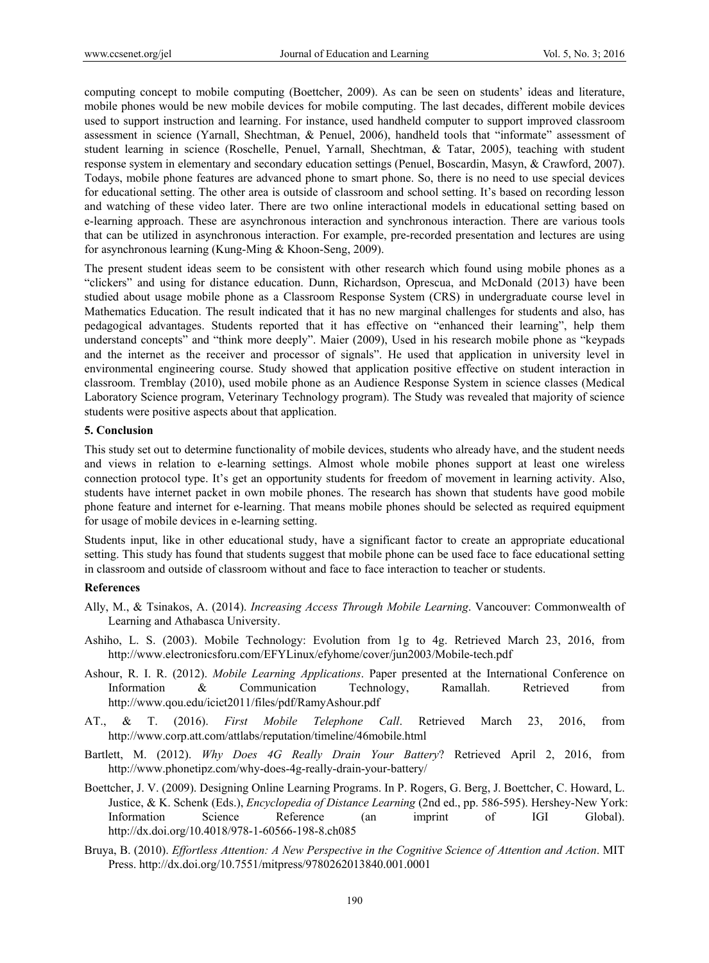computing concept to mobile computing (Boettcher, 2009). As can be seen on students' ideas and literature, mobile phones would be new mobile devices for mobile computing. The last decades, different mobile devices used to support instruction and learning. For instance, used handheld computer to support improved classroom assessment in science (Yarnall, Shechtman, & Penuel, 2006), handheld tools that "informate" assessment of student learning in science (Roschelle, Penuel, Yarnall, Shechtman, & Tatar, 2005), teaching with student response system in elementary and secondary education settings (Penuel, Boscardin, Masyn, & Crawford, 2007). Todays, mobile phone features are advanced phone to smart phone. So, there is no need to use special devices for educational setting. The other area is outside of classroom and school setting. It's based on recording lesson and watching of these video later. There are two online interactional models in educational setting based on e-learning approach. These are asynchronous interaction and synchronous interaction. There are various tools that can be utilized in asynchronous interaction. For example, pre-recorded presentation and lectures are using for asynchronous learning (Kung-Ming & Khoon-Seng, 2009).

The present student ideas seem to be consistent with other research which found using mobile phones as a "clickers" and using for distance education. Dunn, Richardson, Oprescua, and McDonald (2013) have been studied about usage mobile phone as a Classroom Response System (CRS) in undergraduate course level in Mathematics Education. The result indicated that it has no new marginal challenges for students and also, has pedagogical advantages. Students reported that it has effective on "enhanced their learning", help them understand concepts" and "think more deeply". Maier (2009), Used in his research mobile phone as "keypads and the internet as the receiver and processor of signals". He used that application in university level in environmental engineering course. Study showed that application positive effective on student interaction in classroom. Tremblay (2010), used mobile phone as an Audience Response System in science classes (Medical Laboratory Science program, Veterinary Technology program). The Study was revealed that majority of science students were positive aspects about that application.

#### **5. Conclusion**

This study set out to determine functionality of mobile devices, students who already have, and the student needs and views in relation to e-learning settings. Almost whole mobile phones support at least one wireless connection protocol type. It's get an opportunity students for freedom of movement in learning activity. Also, students have internet packet in own mobile phones. The research has shown that students have good mobile phone feature and internet for e-learning. That means mobile phones should be selected as required equipment for usage of mobile devices in e-learning setting.

Students input, like in other educational study, have a significant factor to create an appropriate educational setting. This study has found that students suggest that mobile phone can be used face to face educational setting in classroom and outside of classroom without and face to face interaction to teacher or students.

# **References**

- Ally, M., & Tsinakos, A. (2014). *Increasing Access Through Mobile Learning*. Vancouver: Commonwealth of Learning and Athabasca University.
- Ashiho, L. S. (2003). Mobile Technology: Evolution from 1g to 4g. Retrieved March 23, 2016, from http://www.electronicsforu.com/EFYLinux/efyhome/cover/jun2003/Mobile-tech.pdf
- Ashour, R. I. R. (2012). *Mobile Learning Applications*. Paper presented at the International Conference on Information & Communication Technology, Ramallah. Retrieved from http://www.qou.edu/icict2011/files/pdf/RamyAshour.pdf
- AT., & T. (2016). *First Mobile Telephone Call*. Retrieved March 23, 2016, from http://www.corp.att.com/attlabs/reputation/timeline/46mobile.html
- Bartlett, M. (2012). *Why Does 4G Really Drain Your Battery*? Retrieved April 2, 2016, from http://www.phonetipz.com/why-does-4g-really-drain-your-battery/
- Boettcher, J. V. (2009). Designing Online Learning Programs. In P. Rogers, G. Berg, J. Boettcher, C. Howard, L. Justice, & K. Schenk (Eds.), *Encyclopedia of Distance Learning* (2nd ed., pp. 586-595). Hershey-New York: Information Science Reference (an imprint of IGI Global). http://dx.doi.org/10.4018/978-1-60566-198-8.ch085
- Bruya, B. (2010). *Effortless Attention: A New Perspective in the Cognitive Science of Attention and Action*. MIT Press. http://dx.doi.org/10.7551/mitpress/9780262013840.001.0001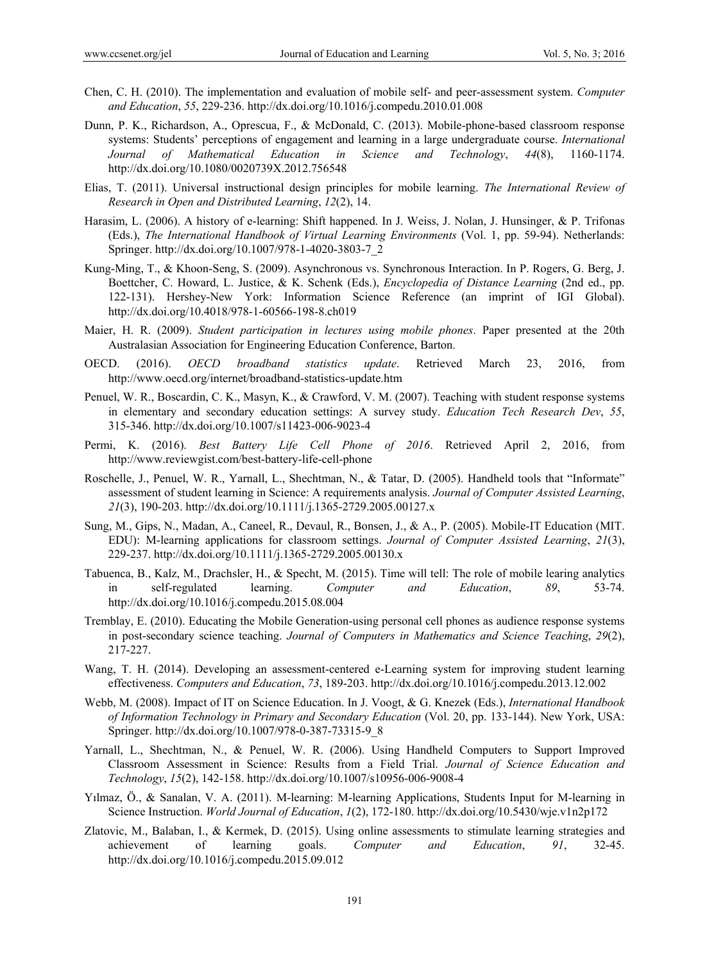- Chen, C. H. (2010). The implementation and evaluation of mobile self- and peer-assessment system. *Computer and Education*, *55*, 229-236. http://dx.doi.org/10.1016/j.compedu.2010.01.008
- Dunn, P. K., Richardson, A., Oprescua, F., & McDonald, C. (2013). Mobile-phone-based classroom response systems: Students' perceptions of engagement and learning in a large undergraduate course. *International Journal of Mathematical Education in Science and Technology*, *44*(8), 1160-1174. http://dx.doi.org/10.1080/0020739X.2012.756548
- Elias, T. (2011). Universal instructional design principles for mobile learning. *The International Review of Research in Open and Distributed Learning*, *12*(2), 14.
- Harasim, L. (2006). A history of e-learning: Shift happened. In J. Weiss, J. Nolan, J. Hunsinger, & P. Trifonas (Eds.), *The International Handbook of Virtual Learning Environments* (Vol. 1, pp. 59-94). Netherlands: Springer. http://dx.doi.org/10.1007/978-1-4020-3803-7\_2
- Kung-Ming, T., & Khoon-Seng, S. (2009). Asynchronous vs. Synchronous Interaction. In P. Rogers, G. Berg, J. Boettcher, C. Howard, L. Justice, & K. Schenk (Eds.), *Encyclopedia of Distance Learning* (2nd ed., pp. 122-131). Hershey-New York: Information Science Reference (an imprint of IGI Global). http://dx.doi.org/10.4018/978-1-60566-198-8.ch019
- Maier, H. R. (2009). *Student participation in lectures using mobile phones*. Paper presented at the 20th Australasian Association for Engineering Education Conference, Barton.
- OECD. (2016). *OECD broadband statistics update*. Retrieved March 23, 2016, from http://www.oecd.org/internet/broadband-statistics-update.htm
- Penuel, W. R., Boscardin, C. K., Masyn, K., & Crawford, V. M. (2007). Teaching with student response systems in elementary and secondary education settings: A survey study. *Education Tech Research Dev*, *55*, 315-346. http://dx.doi.org/10.1007/s11423-006-9023-4
- Permi, K. (2016). *Best Battery Life Cell Phone of 2016*. Retrieved April 2, 2016, from http://www.reviewgist.com/best-battery-life-cell-phone
- Roschelle, J., Penuel, W. R., Yarnall, L., Shechtman, N., & Tatar, D. (2005). Handheld tools that "Informate" assessment of student learning in Science: A requirements analysis. *Journal of Computer Assisted Learning*, *21*(3), 190-203. http://dx.doi.org/10.1111/j.1365-2729.2005.00127.x
- Sung, M., Gips, N., Madan, A., Caneel, R., Devaul, R., Bonsen, J., & A., P. (2005). Mobile-IT Education (MIT. EDU): M-learning applications for classroom settings. *Journal of Computer Assisted Learning*, *21*(3), 229-237. http://dx.doi.org/10.1111/j.1365-2729.2005.00130.x
- Tabuenca, B., Kalz, M., Drachsler, H., & Specht, M. (2015). Time will tell: The role of mobile learing analytics in self-regulated learning. *Computer and Education*, *89*, 53-74. http://dx.doi.org/10.1016/j.compedu.2015.08.004
- Tremblay, E. (2010). Educating the Mobile Generation-using personal cell phones as audience response systems in post-secondary science teaching. *Journal of Computers in Mathematics and Science Teaching*, *29*(2), 217-227.
- Wang, T. H. (2014). Developing an assessment-centered e-Learning system for improving student learning effectiveness. *Computers and Education*, *73*, 189-203. http://dx.doi.org/10.1016/j.compedu.2013.12.002
- Webb, M. (2008). Impact of IT on Science Education. In J. Voogt, & G. Knezek (Eds.), *International Handbook of Information Technology in Primary and Secondary Education* (Vol. 20, pp. 133-144). New York, USA: Springer. http://dx.doi.org/10.1007/978-0-387-73315-9\_8
- Yarnall, L., Shechtman, N., & Penuel, W. R. (2006). Using Handheld Computers to Support Improved Classroom Assessment in Science: Results from a Field Trial. *Journal of Science Education and Technology*, *15*(2), 142-158. http://dx.doi.org/10.1007/s10956-006-9008-4
- Yılmaz, Ö., & Sanalan, V. A. (2011). M-learning: M-learning Applications, Students Input for M-learning in Science Instruction. *World Journal of Education*, *1*(2), 172-180. http://dx.doi.org/10.5430/wje.v1n2p172
- Zlatovic, M., Balaban, I., & Kermek, D. (2015). Using online assessments to stimulate learning strategies and achievement of learning goals. *Computer and Education*, *91*, 32-45. http://dx.doi.org/10.1016/j.compedu.2015.09.012